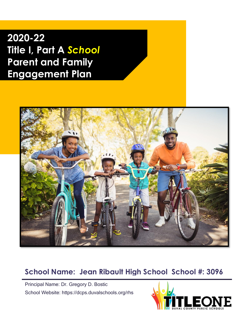**2020-22 Title I, Part A** *School* **Parent and Family Engagement Plan**



### **School Name: Jean Ribault High School School #: 3096**

Principal Name: Dr. Gregory D. Bostic School Website: https://dcps.duvalschools.org/rhs

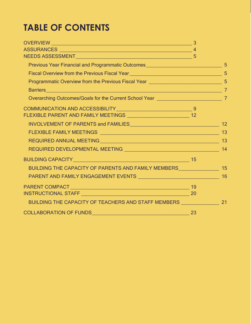### **TABLE OF CONTENTS**

| Previous Year Financial and Programmatic Outcomes <b>Community 1986</b> 5                                              |  |
|------------------------------------------------------------------------------------------------------------------------|--|
| Fiscal Overview from the Previous Fiscal Year 2008 2009 2010 2021 2022 2023 2024 2025                                  |  |
| Programmatic Overview from the Previous Fiscal Year _____________________________ 5                                    |  |
| Barriers 7                                                                                                             |  |
|                                                                                                                        |  |
|                                                                                                                        |  |
|                                                                                                                        |  |
|                                                                                                                        |  |
|                                                                                                                        |  |
|                                                                                                                        |  |
|                                                                                                                        |  |
| BUILDING CAPACITY <b>And Accept and Accept and Accept and Accept and Accept and Accept and Accept and Accept and A</b> |  |
| BUILDING THE CAPACITY OF PARENTS AND FAMILY MEMBERS_____________________________15                                     |  |
| PARENT AND FAMILY ENGAGEMENT EVENTS NE ANN AN EXAMPLE THE METAL THE METAL THE METAL THE METAL THE METAL THE ME         |  |
|                                                                                                                        |  |
|                                                                                                                        |  |
| BUILDING THE CAPACITY OF TEACHERS AND STAFF MEMBERS _____________________________ 21                                   |  |
|                                                                                                                        |  |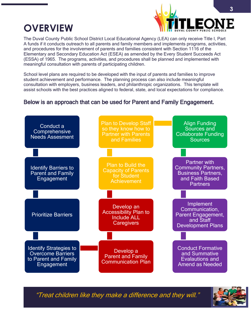### **OVERVIEW**



The Duval County Public School District Local Educational Agency (LEA) can only receive Title I, Part A funds if it conducts outreach to all parents and family members and implements programs, activities, and procedures for the involvement of parents and families consistent with Section 1116 of the Elementary and Secondary Education Act (ESEA) as amended by the Every Student Succeeds Act (ESSA) of 1965. The programs, activities, and procedures shall be planned and implemented with meaningful consultation with parents of participating children.

School level plans are required to be developed with the input of parents and families to improve student achievement and performance. The planning process can also include meaningful consultation with employers, business leaders, and philanthropic organizations. This template will assist schools with the best practices aligned to federal, state, and local expectations for compliance.

#### Below is an approach that can be used for Parent and Family Engagement.



"Treat children like they make a difference and they will."

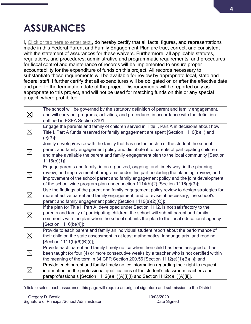## **ASSURANCES**

I, Click or tap here to enter text., do hereby certify that all facts, figures, and representations made in this Federal Parent and Family Engagement Plan are true, correct, and consistent with the statement of assurances for these waivers. Furthermore, all applicable statutes, regulations, and procedures; administrative and programmatic requirements; and procedures for fiscal control and maintenance of records will be implemented to ensure proper accountability for the expenditure of funds on this project. All records necessary to substantiate these requirements will be available for review by appropriate local, state and federal staff. I further certify that all expenditures will be obligated on or after the effective date and prior to the termination date of the project. Disbursements will be reported only as appropriate to this project, and will not be used for matching funds on this or any special project, where prohibited.

| $\boxtimes$ | The school will be governed by the statutory definition of parent and family engagement,<br>and will carry out programs, activities, and procedures in accordance with the definition<br>outlined in ESEA Section 8101;                                                                                                                                             |
|-------------|---------------------------------------------------------------------------------------------------------------------------------------------------------------------------------------------------------------------------------------------------------------------------------------------------------------------------------------------------------------------|
| ⊠           | Engage the parents and family of children served in Title I, Part A in decisions about how<br>Title I, Part A funds reserved for family engagement are spent [Section 1116(b)(1) and<br>$(c)(3)$ ];                                                                                                                                                                 |
| $\boxtimes$ | Jointly develop/revise with the family that has custodianship of the student the school<br>parent and family engagement policy and distribute it to parents of participating children<br>and make available the parent and family engagement plan to the local community [Section<br>$1116(b)(1)$ ;                                                                 |
| $\boxtimes$ | Engage parents and family, in an organized, ongoing, and timely way, in the planning,<br>review, and improvement of programs under this part, including the planning, review, and<br>improvement of the school parent and family engagement policy and the joint development<br>of the school wide program plan under section $1114(b)(2)$ [Section $1116(c)(3)$ ]; |
| 冈           | Use the findings of the parent and family engagement policy review to design strategies for<br>more effective parent and family engagement, and to revise, if necessary, the school's<br>parent and family engagement policy [Section 1116(a)(2)(C)];                                                                                                               |
| $\boxtimes$ | If the plan for Title I, Part A, developed under Section 1112, is not satisfactory to the<br>parents and family of participating children, the school will submit parent and family<br>comments with the plan when the school submits the plan to the local educational agency<br>[Section 1116(b)(4)];                                                             |
| $\boxtimes$ | Provide to each parent and family an individual student report about the performance of<br>their child on the state assessment in at least mathematics, language arts, and reading<br>[Section 1111(h)(6)(B)(i)];                                                                                                                                                   |
| 区           | Provide each parent and family timely notice when their child has been assigned or has<br>been taught for four (4) or more consecutive weeks by a teacher who is not certified within<br>the meaning of the term in 34 CFR Section 200.56 [Section 1112(e)(1)(B)(ii)]; and                                                                                          |
| $\boxtimes$ | Provide each parent and family timely notice information regarding their right to request<br>information on the professional qualifications of the student's classroom teachers and<br>paraprofessionals [Section 1112(e)(1)(A)(i)(l) and Section1112(c)(1)(A)(ii)].                                                                                                |

\*click to select each assurance, this page will require an original signature and submission to the District.

| _Gregory D. Bostic_                         | 10/08/2020  |
|---------------------------------------------|-------------|
| Signature of Principal/School Administrator | Date Signed |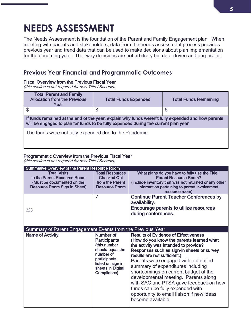### **NEEDS ASSESSMENT**

The Needs Assessment is the foundation of the Parent and Family Engagement plan. When meeting with parents and stakeholders, data from the needs assessment process provides previous year and trend data that can be used to make decisions about plan implementation for the upcoming year. That way decisions are not arbitrary but data-driven and purposeful.

#### **Previous Year Financial and Programmatic Outcomes**

#### Fiscal Overview from the Previous Fiscal Year

(this section is not required for new Title I Schools)

| <b>Total Parent and Family</b><br><b>Allocation from the Previous</b><br>Year                                                                                                             | <b>Total Funds Expended</b> | <b>Total Funds Remaining</b> |  |  |
|-------------------------------------------------------------------------------------------------------------------------------------------------------------------------------------------|-----------------------------|------------------------------|--|--|
| \$                                                                                                                                                                                        | S                           | S                            |  |  |
| If funds remained at the end of the year, explain why funds weren't fully expended and how parents<br>will be engaged to plan for funds to be fully expended during the current plan year |                             |                              |  |  |
| The funds were not fully expended due to the Pandemic.                                                                                                                                    |                             |                              |  |  |

#### Programmatic Overview from the Previous Fiscal Year

(this section is not required for new Title I Schools)

| Summative Overview of the Parent Resource Room             |                                              |                                                                            |  |  |
|------------------------------------------------------------|----------------------------------------------|----------------------------------------------------------------------------|--|--|
| <b>Total Visits</b><br>to the Parent Resource Room         | <b>Total Resources</b><br><b>Checked Out</b> | What plans do you have to fully use the Title I<br>Parent Resource Room?   |  |  |
| (Must be documented on the                                 | from the Parent                              | (include inventory that was not returned or any other                      |  |  |
| <b>Resource Room Sign in Sheet)</b>                        | <b>Resource Room</b>                         | information pertaining to parent involvement<br>resource room)             |  |  |
|                                                            | 7                                            | <b>Continue Parent Teacher Conferences by</b><br>availability.             |  |  |
| 223                                                        |                                              | Encourage parents to utilize resources                                     |  |  |
|                                                            |                                              | during conferences.                                                        |  |  |
|                                                            |                                              |                                                                            |  |  |
| Summary of Parent Engagement Events from the Previous Year |                                              |                                                                            |  |  |
| <b>Name of Activity</b>                                    | Number of                                    | <b>Results of Evidence of Effectiveness</b>                                |  |  |
|                                                            | <b>Participants</b>                          | (How do you know the parents learned what                                  |  |  |
|                                                            |                                              |                                                                            |  |  |
|                                                            |                                              |                                                                            |  |  |
|                                                            | (this number<br>should equal the             | the activity was intended to provide?                                      |  |  |
|                                                            | number of                                    | Responses such as sign-in sheets or survey<br>results are not sufficient.) |  |  |
|                                                            | participants                                 | Parents were engaged with a detailed                                       |  |  |
|                                                            | listed on sign in                            | summary of expenditures including                                          |  |  |
|                                                            | sheets in Digital<br>Compliance)             | shortcomings on current budget at the                                      |  |  |
|                                                            |                                              | developmental meeting. Parents along                                       |  |  |
|                                                            |                                              | with SAC and PTSA gave feedback on how                                     |  |  |
|                                                            |                                              | funds can be fully expended with                                           |  |  |
|                                                            |                                              | opportunity to email liaison if new ideas                                  |  |  |
|                                                            |                                              | become available                                                           |  |  |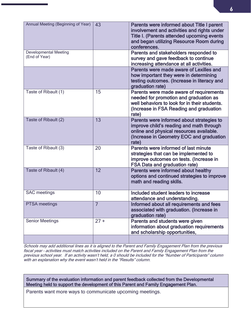| Annual Meeting (Beginning of Year)            | 43             | Parents were informed about Title I parent<br>involvement and activities and rights under<br>Title I. (Parents attended upcoming events<br>and began utilizing Resource Room during<br>conferences. |
|-----------------------------------------------|----------------|-----------------------------------------------------------------------------------------------------------------------------------------------------------------------------------------------------|
| <b>Developmental Meeting</b><br>(End of Year) |                | Parents and stakeholders responded to<br>survey and gave feedback to continue<br>increasing attendance at all activities.                                                                           |
|                                               |                | Parents were made aware of Lexilles and<br>how important they were in determining<br>testing outcomes. (Increase in literacy and<br>graduation rate)                                                |
| Taste of Ribault (1)                          | 15             | Parents were made aware of requirements<br>needed for promotion and graduation as<br>well behaviors to look for in their students.<br>(Increase in FSA Reading and graduation<br>rate)              |
| Taste of Ribault (2)                          | 13             | Parents were informed about strategies to<br>improve child's reading and math through<br>online and physical resources available.<br>(Increase in Geometry EOC and graduation<br>rate)              |
| Taste of Ribault (3)                          | 20             | Parents were informed of last minute<br>strategies that can be implemented to<br>improve outcomes on tests. (Increase in<br><b>FSA Data and graduation rate)</b>                                    |
| Taste of Ribault (4)                          | 12             | Parents were informed about healthy<br>options and continued strategies to improve<br>math and reading skills.                                                                                      |
| <b>SAC</b> meetings                           | 10             | Included student leaders to increase<br>attendance and understanding.                                                                                                                               |
| PTSA meetings                                 | $\overline{7}$ | Informed about all requirements and fees<br>associated with graduation. (Increase in<br>graduation rate)                                                                                            |
| <b>Senior Meetings</b>                        | $27 +$         | Parents and students were given<br>information about graduation requirements<br>and scholarship opportunities,                                                                                      |
|                                               |                |                                                                                                                                                                                                     |

Schools may add additional lines as it is aligned to the Parent and Family Engagement Plan from the previous fiscal year – activities must match activities included on the Parent and Family Engagement Plan from the previous school year. If an activity wasn't held, a 0 should be included for the "Number of Participants" column with an explanation why the event wasn't held in the "Results" column.

Summary of the evaluation information and parent feedback collected from the Developmental Meeting held to support the development of this Parent and Family Engagement Plan.

Parents want more ways to communicate upcoming meetings.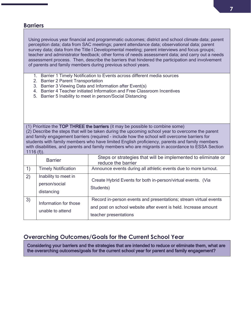#### **Barriers**

Using previous year financial and programmatic outcomes; district and school climate data; parent perception data; data from SAC meetings; parent attendance data; observational data; parent survey data; data from the Title I Developmental meeting; parent interviews and focus groups; teacher and administrator feedback; other forms of needs assessment data; and carry out a needs assessment process. Then, describe the barriers that hindered the participation and involvement of parents and family members during previous school years.

- 1. Barrier 1 Timely Notification to Events across different media sources
- 2. Barrier 2 Parent Transportation
- 3. Barrier 3 Viewing Data and Information after Event(s)
- 4. Barrier 4 Teacher initiated Information and Free Classroom Incentives
- 5. Barrier 5 Inability to meet in person/Social Distancing

(1) Prioritize the TOP THREE the barriers (it may be possible to combine some) (2) Describe the steps that will be taken during the upcoming school year to overcome the parent and family engagement barriers (required - include how the school will overcome barriers for students with family members who have limited English proficiency, parents and family members with disabilities, and parents and family members who are migrants in accordance to ESSA Section  $1116(f)$ .

|    | <b>Barrier</b>                                      | Steps or strategies that will be implemented to eliminate or<br>reduce the barrier                                                                           |
|----|-----------------------------------------------------|--------------------------------------------------------------------------------------------------------------------------------------------------------------|
| 1) | <b>Timely Notification</b>                          | Announce events during all athletic events due to more turnout.                                                                                              |
| 2) | Inability to meet in<br>person/social<br>distancing | Create Hybrid Events for both in-person/virtual events. (Via<br>Students)                                                                                    |
| 3) | Information for those<br>unable to attend           | Record in-person events and presentations; stream virtual events<br>and post on school website after event is held. Increase amount<br>teacher presentations |

#### **Overarching Outcomes/Goals for the Current School Year**

Considering your barriers and the strategies that are intended to reduce or eliminate them, what are the overarching outcomes/goals for the current school year for parent and family engagement?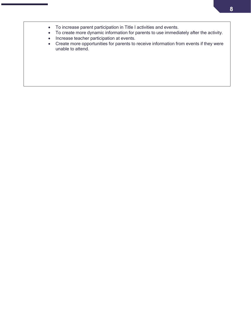- To increase parent participation in Title I activities and events.
- To create more dynamic information for parents to use immediately after the activity.
- Increase teacher participation at events.
- Create more opportunities for parents to receive information from events if they were unable to attend.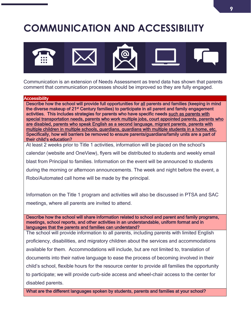## **COMMUNICATION AND ACCESSIBILITY**



Communication is an extension of Needs Assessment as trend data has shown that parents comment that communication processes should be improved so they are fully engaged.

#### **Accessibility**

Describe how the school will provide full opportunities for all parents and families (keeping in mind the diverse makeup of 21<sup>st</sup> Century families) to participate in all parent and family engagement activities. This includes strategies for parents who have specific needs such as parents with special transportation needs, parents who work multiple jobs, court appointed parents, parents who are disabled, parents who speak English as a second language, migrant parents, parents with multiple children in multiple schools, guardians, guardians with multiple students in a home, etc. Specifically, how will barriers be removed to ensure parents/guardians/family units are a part of their child's education?

At least 2 weeks prior to Title 1 activities, information will be placed on the school's calendar (website and OneView), flyers will be distributed to students and weekly email blast from Principal to families. Information on the event will be announced to students during the morning or afternoon announcements. The week and night before the event, a Robo/Automated call home will be made by the principal.

Information on the Title 1 program and activities will also be discussed in PTSA and SAC meetings, where all parents are invited to attend.

Describe how the school will share information related to school and parent and family programs, meetings, school reports, and other activities in an understandable, uniform format and in languages that the parents and families can understand?

The school will provide information to all parents, including parents with limited English proficiency, disabilities, and migratory children about the services and accommodations available for them. Accommodations will include, but are not limited to, translation of documents into their native language to ease the process of becoming involved in their child's school, flexible hours for the resource center to provide all families the opportunity to participate; we will provide curb-side access and wheel-chair access to the center for disabled parents.

What are the different languages spoken by students, parents and families at your school?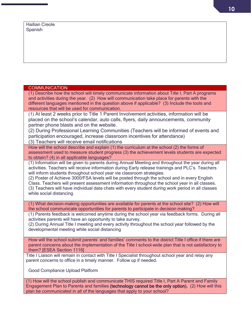| <b>COMMUNICATION</b>                                                                                                                                                                                                                                                                                                                                                                                                                                                                                                                                                                                             |
|------------------------------------------------------------------------------------------------------------------------------------------------------------------------------------------------------------------------------------------------------------------------------------------------------------------------------------------------------------------------------------------------------------------------------------------------------------------------------------------------------------------------------------------------------------------------------------------------------------------|
| (1) Describe how the school will timely communicate information about Title I, Part A programs<br>and activities during the year. (2) How will communication take place for parents with the<br>different languages mentioned in the question above if applicable? (3) Include the tools and<br>resources that will be used for communication.                                                                                                                                                                                                                                                                   |
| (1) At least 2 weeks prior to Title 1 Parent Involvement activities, information will be<br>placed on the school's calendar, auto calls, flyers, daily announcements, community<br>partner phone blasts and on the website.<br>(2) During Professional Learning Communities (Teachers will be informed of events and<br>participation encouraged, increase classroom incentives for attendance)<br>(3) Teachers will receive email notifications                                                                                                                                                                 |
| How will the school describe and explain (1) the curriculum at the school (2) the forms of<br>assessment used to measure student progress (3) the achievement levels students are expected<br>to obtain? (4) in all applicable languages?                                                                                                                                                                                                                                                                                                                                                                        |
| (1) Information will be given to parents during Annual Meeting and throughout the year during all<br>activities. Teachers will receive information during Early release trainings and PLC's. Teachers<br>will inform students throughout school year vie classroom strategies.<br>(2) Poster of Achieve 3000/FSA levels will be posted through the school and in every English<br>Class. Teachers will present assessment information throughout the school year in all classes.<br>(3) Teachers will have individual data chats with every student during work period in all classes<br>while social distancing |
| (1) What decision-making opportunities are available for parents at the school site? (2) How will<br>the school communicate opportunities for parents to participate in decision making?                                                                                                                                                                                                                                                                                                                                                                                                                         |
| (1) Parents feedback is welcomed anytime during the school year via feedback forms. During all<br>activities parents will have an opportunity to take survey.<br>(2) During Annual Title I meeting and every activity throughout the school year followed by the<br>developmental meeting while social distancing                                                                                                                                                                                                                                                                                                |
| How will the school submit parents' and families' comments to the district Title I office if there are<br>parent concerns about the implementation of the Title I school-wide plan that is not satisfactory to<br>them? [ESEA Section 1116]                                                                                                                                                                                                                                                                                                                                                                      |
| Title I Liaison will remain in contact with Title I Specialist throughout school year and relay any<br>parent concerns to office in a timely manner. Follow up if needed.                                                                                                                                                                                                                                                                                                                                                                                                                                        |
| Good Compliance Upload Platform                                                                                                                                                                                                                                                                                                                                                                                                                                                                                                                                                                                  |
| (1) How will the school publish and communicate THIS required Title I, Part A Parent and Family<br>Engagement Plan to Parents and families (technology cannot be the only option). (2) How will this<br>plan be communicated in all of the languages that apply to your school?                                                                                                                                                                                                                                                                                                                                  |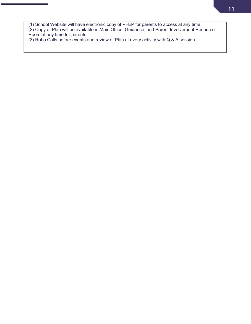(1) School Website will have electronic copy of PFEP for parents to access at any time. (2) Copy of Plan will be available in Main Office, Guidance, and Parent Involvement Resource Room at any time for parents.

(3) Robo Calls before events and review of Plan at every activity with Q & A session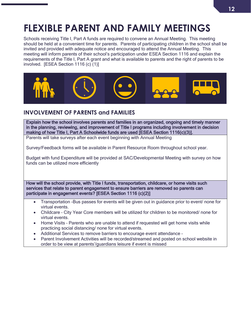## **FLEXIBLE PARENT AND FAMILY MEETINGS**

Schools receiving Title I, Part A funds are required to convene an Annual Meeting. This meeting should be held at a convenient time for parents. Parents of participating children in the school shall be invited and provided with adequate notice and encouraged to attend the Annual Meeting. This meeting will inform parents of their school's participation under ESEA Section 1116 and explain the requirements of the Title I, Part A grant and what is available to parents and the right of parents to be involved. [ESEA Section 1116 (c) (1)]



### **INVOLVEMENT OF PARENTS and FAMILIES**

Explain how the school involves parents and families in an organized, ongoing and timely manner in the planning, reviewing, and improvement of Title I programs including involvement in decision making of how Title I, Part A Schoolwide funds are used [ESEA Section 1116(c)(3)].

Parents will take surveys after each event beginning with Annual Meeting

Survey/Feedback forms will be available in Parent Resource Room throughout school year.

Budget with fund Expenditure will be provided at SAC/Developmental Meeting with survey on how funds can be utilized more efficiently

How will the school provide, with Title I funds, transportation, childcare, or home visits such services that relate to parent engagement to ensure barriers are removed so parents can participate in engagement events? [ESEA Section 1116 (c)(2)]

- Transportation -Bus passes for events will be given out in guidance prior to event/ none for virtual events.
- Childcare City Year Core members will be utilized for children to be monitored/ none for virtual events.
- Home Visits Parents who are unable to attend if requested will get home visits while practicing social distancing/ none for virtual events.
- Additional Services to remove barriers to encourage event attendance –
- Parent Involvement Activities will be recorded/streamed and posted on school website in order to be view at parents'/guardians leisure if event is missed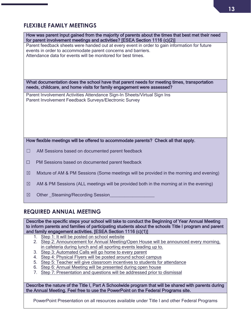### **FLEXIBLE FAMILY MEETINGS**

| How was parent input gained from the majority of parents about the times that best met their need<br>for parent involvement meetings and activities? [ESEA Section 1116 (c)(2)]                                               |  |
|-------------------------------------------------------------------------------------------------------------------------------------------------------------------------------------------------------------------------------|--|
| Parent feedback sheets were handed out at every event in order to gain information for future<br>events in order to accommodate parent concerns and barriers.<br>Attendance data for events will be monitored for best times. |  |
| What documentation does the school have that parent needs for meeting times, transportation<br>needs, childcare, and home visits for family engagement were assessed?                                                         |  |
| Parent Involvement Activities Attendance Sign-In Sheets/Virtual Sign Ins<br>Parent Involvement Feedback Surveys/Electronic Survey                                                                                             |  |
|                                                                                                                                                                                                                               |  |
|                                                                                                                                                                                                                               |  |
|                                                                                                                                                                                                                               |  |
| How flexible meetings will be offered to accommodate parents? Check all that apply.                                                                                                                                           |  |
| AM Sessions based on documented parent feedback<br>$\blacksquare$                                                                                                                                                             |  |
| PM Sessions based on documented parent feedback<br>$\Box$                                                                                                                                                                     |  |
| Mixture of AM & PM Sessions (Some meetings will be provided in the morning and evening)<br>$\boxtimes$                                                                                                                        |  |
| AM & PM Sessions (ALL meetings will be provided both in the morning at in the evening)<br>$\boxtimes$                                                                                                                         |  |
| $\boxtimes$<br>Other Steaming/Recording Session                                                                                                                                                                               |  |
|                                                                                                                                                                                                                               |  |

#### **REQUIRED ANNUAL MEETING**

Describe the specific steps your school will take to conduct the Beginning of Year Annual Meeting to inform parents and families of participating students about the schools Title I program and parent and family engagement activities. [ESEA Section 1116 (c)(1)]

- 1. Step 1: It will be posted on school website
- 2. Step 2: Announcement for Annual Meeting/Open House will be announced every morning, in cafeteria during lunch and all sporting events leading up to.
- 3. Step 3: Automated Calls will go home to every parent
- 4. Step 4: Physical Flyers will be posted around school campus
- 5. Step 5: Teacher will give classroom incentives to students for attendance
- 6. Step 6: Annual Meeting will be presented during open house
- 7. Step 7: Presentation and questions will be addressed prior to dismissal

Describe the nature of the Title I, Part A Schoolwide program that will be shared with parents during the Annual Meeting. Feel free to use the PowerPoint on the Federal Programs site.

PowerPoint Presentation on all resources available under Title I and other Federal Programs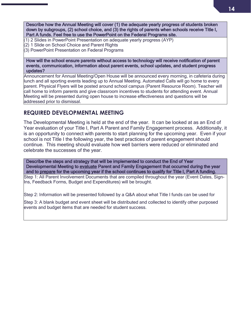Describe how the Annual Meeting will cover (1) the adequate yearly progress of students broken down by subgroups, (2) school choice, and (3) the rights of parents when schools receive Title I, Part A funds. Feel free to use the PowerPoint on the Federal Programs site.

- (1) 2 Slides in PowerPoint Presentation on adequate yearly progress (AYP)
- (2) 1 Slide on School Choice and Parent Rights
- (3) PowerPoint Presentation on Federal Programs

How will the school ensure parents without access to technology will receive notification of parent events, communication, information about parent events, school updates, and student progress updates?

Announcement for Annual Meeting/Open House will be announced every morning, in cafeteria during lunch and all sporting events leading up to Annual Meeting. Automated Calls will go home to every parent. Physical Flyers will be posted around school campus (Parent Resource Room). Teacher will call home to inform parents and give classroom incentives to students for attending event. Annual Meeting will be presented during open house to increase effectiveness and questions will be addressed prior to dismissal.

#### **REQUIRED DEVELOPMENTAL MEETING**

The Developmental Meeting is held at the end of the year. It can be looked at as an End of Year evaluation of your Title I, Part A Parent and Family Engagement process. Additionally, it is an opportunity to connect with parents to start planning for the upcoming year. Even if your school is not Title I the following year, the best practices of parent engagement should continue. This meeting should evaluate how well barriers were reduced or eliminated and celebrate the successes of the year.

Describe the steps and strategy that will be implemented to conduct the End of Year Developmental Meeting to evaluate Parent and Family Engagement that occurred during the year and to prepare for the upcoming year if the school continues to qualify for Title I, Part A funding. Step 1: All Parent Involvement Documents that are compiled throughout the year (Event Dates, Sign-Ins, Feedback Forms, Budget and Expenditures) will be brought.

Step 2: Information will be presented followed by a Q&A about what Title I funds can be used for

Step 3: A blank budget and event sheet will be distributed and collected to identify other purposed events and budget items that are needed for student success.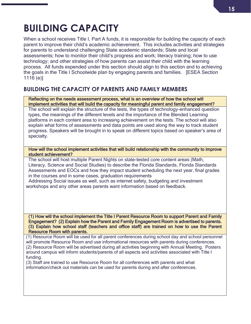## **BUILDING CAPACITY**

When a school receives Title I, Part A funds, it is responsible for building the capacity of each parent to improve their child's academic achievement. This includes activities and strategies for parents to understand challenging State academic standards; State and local assessments; how to monitor their child's progress and work; literacy training; how to use technology; and other strategies of how parents can assist their child with the learning process. All funds expended under this section should align to this section and to achieving the goals in the Title I Schoolwide plan by engaging parents and families. [ESEA Section 1116 (e)]

### **BUILDING THE CAPACITY OF PARENTS AND FAMILY MEMBERS**

Reflecting on the needs assessment process, what is an overview of how the school will implement activities that will build the capacity for meaningful parent and family engagement?

The school will explain the structure of the tests, the types of technology-enhanced question types, the meanings of the different levels and the importance of the Blended Learning platforms in each content area to increasing achievement on the tests. The school will also explain what forms of assessments and data points are used along the way to track student progress. Speakers will be brought in to speak on different topics based on speaker's area of specialty.

How will the school implement activities that will build relationship with the community to improve student achievement?

The school will host multiple Parent Nights on state-tested core content areas (Math, Literacy, Science and Social Studies) to describe the Florida Standards, Florida Standards Assessments and EOCs and how they impact student scheduling the next year, final grades in the courses and in some cases, graduation requirements

 Addressing Social issues as well, such as internet safety, budgeting and investment workshops and any other areas parents want information based on feedback.

(1) How will the school implement the Title I Parent Resource Room to support Parent and Family Engagement? (2) Explain how the Parent and Family Engagement Room is advertised to parents. (3) Explain how school staff (teachers and office staff) are trained on how to use the Parent Resource Room with parents.

(1) Resource Room will be used for all parent conferences during school day and school personnel will promote Resource Room and use informational resources with parents during conferences. (2) Resource Room will be advertised during all activities beginning with Annual Meeting. Posters around campus will inform students/parents of all aspects and activities associated with Title I funding.

(3) Staff are trained to use Resource Room for all conferences with parents and what information/check out materials can be used for parents during and after conferences.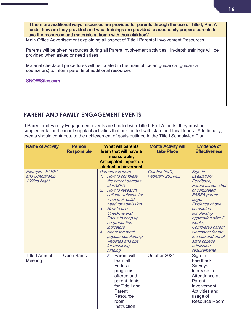If there are additional ways resources are provided for parents through the use of Title I, Part A funds, how are they provided and what trainings are provided to adequately prepare parents to use the resources and materials at home with their children?

Main Office Advertisement explaining all aspect of Title I Parental Involvement Resources

Parents will be given resources during all Parent Involvement activities. In-depth trainings will be provided when asked or need arises.

Material check-out procedures will be located in the main office an guidance (guidance counselors) to inform parents of additional resources

SNOWSites.com

#### **PARENT AND FAMILY ENGAGEMENT EVENTS**

If Parent and Family Engagement events are funded with Title I, Part A funds, they must be supplemental and cannot supplant activities that are funded with state and local funds. Additionally, events should contribute to the achievement of goals outlined in the Title I Schoolwide Plan.

| <b>Name of Activity</b>                                   | <b>Person</b><br><b>Responsible</b> | What will parents<br>learn that will have a<br>measurable,<br><b>Anticipated impact on</b><br>student achievement                                                                                                                                                                                                                                                                     | <b>Month Activity will</b><br>take Place | <b>Evidence of</b><br><b>Effectiveness</b>                                                                                                                                                                                                                                                                      |
|-----------------------------------------------------------|-------------------------------------|---------------------------------------------------------------------------------------------------------------------------------------------------------------------------------------------------------------------------------------------------------------------------------------------------------------------------------------------------------------------------------------|------------------------------------------|-----------------------------------------------------------------------------------------------------------------------------------------------------------------------------------------------------------------------------------------------------------------------------------------------------------------|
| Example: FASFA<br>and Scholarship<br><b>Writing Night</b> |                                     | Parents will learn:<br>1. How to complete<br>the parent portions<br>of FASFA<br>2.<br>How to research<br>college websites for<br>what their child<br>need for admission<br>3. How to use<br><b>OneDrive</b> and<br>Focus to keep up<br>on graduation<br><i>indicators</i><br>About the most<br>$\overline{4}$<br>popular scholarship<br>websites and tips<br>for receiving<br>funding | October 2021,<br><b>February 2021-22</b> | Sign-in;<br>Evaluation/<br>Feedback;<br>Parent screen shot<br>of completed<br><b>FASFA</b> parent<br>page;<br>Evidence of one<br>completed<br>scholarship<br>application after 3<br>weeks;<br><b>Completed parent</b><br>worksheet for the<br>in-state and out of<br>state college<br>admission<br>requirements |
| <b>Title I Annual</b><br><b>Meeting</b>                   | <b>Quen Sams</b>                    | 5. Parent will<br>learn all<br>Federal<br>programs<br>offered and<br>parent rights<br>for Title I and<br>Parent<br>Resource<br>room<br>Instruction                                                                                                                                                                                                                                    | October 2021                             | Sign-In<br>Feedback<br><b>Surveys</b><br>Increase in<br>Attendance at<br>Parent<br>Involvement<br><b>Activities and</b><br>usage of<br><b>Resource Room</b>                                                                                                                                                     |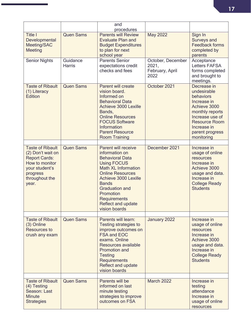|                                                                                                                      |                           | and<br>procedures                                                                                                                                                                                                                                                          |                                                       |                                                                                                                                                                                      |
|----------------------------------------------------------------------------------------------------------------------|---------------------------|----------------------------------------------------------------------------------------------------------------------------------------------------------------------------------------------------------------------------------------------------------------------------|-------------------------------------------------------|--------------------------------------------------------------------------------------------------------------------------------------------------------------------------------------|
| <b>Title I</b><br>Developmental<br>Meeting/SAC<br><b>Meeting</b>                                                     | <b>Quen Sams</b>          | <b>Parents will Review</b><br><b>Evaluate Plan and</b><br><b>Budget Expenditures</b><br>to plan for next<br>school year                                                                                                                                                    | <b>May 2022</b>                                       | Sign In<br><b>Surveys and</b><br><b>Feedback forms</b><br>completed by<br>parents                                                                                                    |
| <b>Senior Nights</b>                                                                                                 | Guidance<br><b>Harris</b> | <b>Parents Senior</b><br>expectations credit<br>checks and fees                                                                                                                                                                                                            | October, December<br>2021,<br>February, April<br>2022 | Acceptance<br><b>Letters FAFSA</b><br>forms completed<br>and brought to<br>meetings.                                                                                                 |
| <b>Taste of Ribault</b><br>(1) Literacy<br><b>Edition</b>                                                            | <b>Quen Sams</b>          | Parent will create<br>vision board.<br>Informed on<br><b>Behavioral Data</b><br><b>Achieve 3000 Lexille</b><br>Bands,<br><b>Online Resources</b><br><b>FOCUS Software</b><br>Information<br><b>Parent Resource</b><br><b>Room Training</b>                                 | October 2021                                          | Decrease in<br>undesirable<br>behaviors<br>Increase in<br>Achieve 3000<br>monthly reports<br>Increase use of<br><b>Resource Room</b><br>Increase in<br>parent progress<br>monitoring |
| <b>Taste of Ribault</b>                                                                                              | <b>Quen Sams</b>          | <b>Parent will receive</b>                                                                                                                                                                                                                                                 | December 2021                                         | Increase in                                                                                                                                                                          |
| (2) Don't wait on<br><b>Report Cards:</b><br>How to monitor<br>your student's<br>progress<br>throughout the<br>year. |                           | information on<br><b>Behavioral Data</b><br><b>Using FOCUS</b><br><b>Math XL Information</b><br><b>Online Resources</b><br><b>Achieve 3000 Lexille</b><br><b>Bands</b><br><b>Graduation and</b><br>Promotion<br><b>Requirements</b><br>Reflect and update<br>vision boards |                                                       | usage of online<br>resources<br>Increase in<br>Achieve 3000<br>usage and data.<br>Increase in<br><b>College Ready</b><br><b>Students</b>                                             |
| <b>Taste of Ribault</b>                                                                                              | <b>Quen Sams</b>          | Parents will learn:                                                                                                                                                                                                                                                        | January 2022                                          | Increase in                                                                                                                                                                          |
| (3) Online<br><b>Resources to</b><br>crush any exam                                                                  |                           | <b>Testing strategies to</b><br>improve outcomes on<br><b>FSA and EOC</b><br>exams. Online<br>Resources available<br><b>Promotion and</b><br><b>Testing</b><br><b>Requirements</b><br>Reflect and update<br>vision boards                                                  |                                                       | usage of online<br>resources<br>Increase in<br>Achieve 3000<br>usage and data.<br>Increase in<br><b>College Ready</b><br><b>Students</b>                                             |
| <b>Taste of Ribault</b>                                                                                              | <b>Quen Sams</b>          | Parents will be                                                                                                                                                                                                                                                            | <b>March 2022</b>                                     | Increase in                                                                                                                                                                          |
| (4) Testing<br>Season: Last<br><b>Minute</b><br><b>Strategies</b>                                                    |                           | informed on last<br>minute testing<br>strategies to improve<br>outcomes on FSA                                                                                                                                                                                             |                                                       | testing<br>attendance<br>Increase in<br>usage of online<br>resources                                                                                                                 |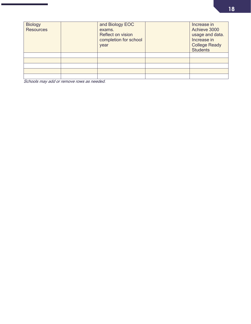| <b>Biology</b><br><b>Resources</b> | and Biology EOC<br>exams.<br><b>Reflect on vision</b><br>completion for school<br>year | Increase in<br>Achieve 3000<br>usage and data.<br>Increase in<br><b>College Ready</b><br><b>Students</b> |
|------------------------------------|----------------------------------------------------------------------------------------|----------------------------------------------------------------------------------------------------------|
|                                    |                                                                                        |                                                                                                          |
|                                    |                                                                                        |                                                                                                          |
|                                    |                                                                                        |                                                                                                          |
|                                    |                                                                                        |                                                                                                          |
|                                    |                                                                                        |                                                                                                          |

Schools may add or remove rows as needed.

ī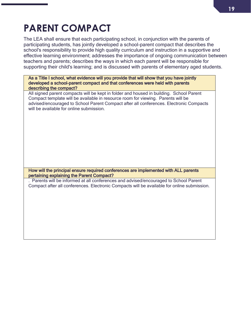### **19**

# **PARENT COMPACT**

The LEA shall ensure that each participating school, in conjunction with the parents of participating students, has jointly developed a school-parent compact that describes the school's responsibility to provide high quality curriculum and instruction in a supportive and effective learning environment; addresses the importance of ongoing communication between teachers and parents; describes the ways in which each parent will be responsible for supporting their child's learning; and is discussed with parents of elementary aged students.

As a Title I school, what evidence will you provide that will show that you have jointly developed a school-parent compact and that conferences were held with parents describing the compact?

All signed parent compacts will be kept in folder and housed in building. School Parent Compact template will be available in resource room for viewing. Parents will be advised/encouraged to School Parent Compact after all conferences. Electronic Compacts will be available for online submission.

How will the principal ensure required conferences are implemented with ALL parents pertaining explaining the Parent Compact?

. Parents will be informed at all conferences and advised/encouraged to School Parent Compact after all conferences. Electronic Compacts will be available for online submission.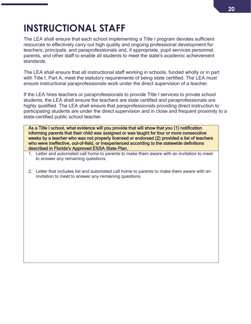## **INSTRUCTIONAL STAFF**

The LEA shall ensure that each school implementing a Title I program devotes sufficient resources to effectively carry out high quality and ongoing professional development for teachers, principals, and paraprofessionals and, if appropriate, pupil services personnel, parents, and other staff to enable all students to meet the state's academic achievement standards.

The LEA shall ensure that all instructional staff working in schools, funded wholly or in part with Title I, Part A, meet the statutory requirements of being state certified. The LEA must ensure instructional paraprofessionals work under the direct supervision of a teacher.

If the LEA hires teachers or paraprofessionals to provide Title I services to private school students, the LEA shall ensure the teachers are state certified and paraprofessionals are highly qualified. The LEA shall ensure that paraprofessionals providing direct instruction to participating students are under the direct supervision and in close and frequent proximity to a state-certified public school teacher.

As a Title I school, what evidence will you provide that will show that you (1) notification informing parents that their child was assigned or was taught for four or more consecutive weeks by a teacher who was not properly licensed or endorsed (2) provided a list of teachers who were ineffective, out-of-field, or inexperienced according to the statewide definitions described in Florida's Approved ESSA State Plan.

- 1. Letter and automated call home to parents to make them aware with an invitation to meet to answer any remaining questions.
- 2. Letter that includes list and automated call home to parents to make them aware with an invitation to meet to answer any remaining questions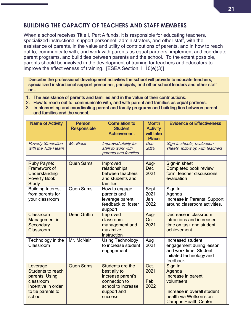### **BUILDING THE CAPACITY OF TEACHERS AND STAFF MEMBERS**

When a school receives Title I, Part A funds, it is responsible for educating teachers, specialized instructional support personnel, administrators, and other staff, with the assistance of parents, in the value and utility of contributions of parents, and in how to reach out to, communicate with, and work with parents as equal partners, implement and coordinate parent programs, and build ties between parents and the school. To the extent possible, parents should be involved in the development of training for teachers and educators to improve the effectiveness of training. [ESEA Section 1116(e)(3)]

Describe the professional development activities the school will provide to educate teachers, specialized instructional support personnel, principals, and other school leaders and other staff on…

- 1. The assistance of parents and families and in the value of their contributions.
- 2. How to reach out to, communicate with, and with parent and families as equal partners.
- 3. Implementing and coordinating parent and family programs and building ties between parent and families and the school.

| <b>Name of Activity</b>                                                                                            | <b>Person</b><br><b>Responsible</b> | <b>Correlation to</b><br><b>Student</b><br><b>Achievement</b>                                                                 | <b>Month</b><br><b>Activity</b><br>will take<br><b>Place</b> | <b>Evidence of Effectiveness</b>                                                                                                               |
|--------------------------------------------------------------------------------------------------------------------|-------------------------------------|-------------------------------------------------------------------------------------------------------------------------------|--------------------------------------------------------------|------------------------------------------------------------------------------------------------------------------------------------------------|
| <b>Poverty Simulation</b><br>with the Title I team                                                                 | Mr. Black                           | Improved ability for<br>staff to work with<br>parents and families                                                            | Dec<br>2020                                                  | Sign-in sheets, evaluation<br>sheets, follow up with teachers                                                                                  |
| Ruby Payne:<br>Framework of<br>Understanding<br><b>Poverty Book</b><br><b>Study</b>                                | <b>Quen Sams</b>                    | Improved<br>relationships<br>between teachers<br>and students and<br>families                                                 | Aug-<br><b>Dec</b><br>2021                                   | Sign-in sheet<br><b>Completed book review</b><br>form, teacher discussions,<br>evaluation                                                      |
| <b>Building Interest</b><br>from parents for<br>your classroom                                                     | <b>Quen Sams</b>                    | How to engage<br>parents and<br>leverage parent<br>feedback to foster<br>support                                              | Sept.<br>2021<br>Jan<br>2022                                 | Sign In<br>Agenda<br>Increase in Parental Support<br>around classroom activities.                                                              |
| Classroom<br>Management in<br>Secondary<br>Classroom                                                               | <b>Dean Griffin</b>                 | Improved<br>classroom<br>management and<br>maximize<br>instruction                                                            | Aug-<br>Oct<br>2021                                          | Decrease in classroom<br>infractions and increased<br>time on task and student<br>achievement.                                                 |
| Technology in the<br>Classroom                                                                                     | Mr. McNair                          | <b>Using Technology</b><br>to increase student<br>engagement                                                                  | Aug<br>2021                                                  | Increased student<br>engagement during lesson<br>and work time. Student<br>initiated technology and<br>feedback                                |
| Leverage<br>Students to reach<br>parents: Using<br>classroom<br>incentive in order<br>to tie parents to<br>school. | <b>Quen Sams</b>                    | Students are the<br>best ally to<br>increase parent's<br>connection to<br>school to increase<br>support and<br><b>SUCCESS</b> | Oct.<br>2021<br>Feb<br>2022                                  | Sign In<br>Agenda<br>Increase in parent<br>volunteers<br>Increase in overall student<br>health via Wolfson's on<br><b>Campus Health Center</b> |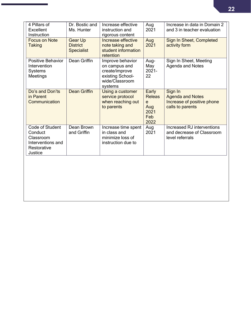| 4 Pillars of<br><b>Excellent</b><br>Instruction                                        | Dr. Bostic and<br>Ms. Hunter                           | Increase effective<br>instruction and<br>rigorous content                                            | Aug<br>2021                                               | Increase in data in Domain 2<br>and 3 in teacher evaluation                          |
|----------------------------------------------------------------------------------------|--------------------------------------------------------|------------------------------------------------------------------------------------------------------|-----------------------------------------------------------|--------------------------------------------------------------------------------------|
| <b>Focus on Note</b><br><b>Taking</b>                                                  | <b>Gear Up</b><br><b>District</b><br><b>Specialist</b> | Increase effective<br>note taking and<br>student information<br>retention                            | Aug<br>2021                                               | Sign In Sheet, Completed<br>activity form                                            |
| <b>Positive Behavior</b><br>Intervention<br>Systems<br>Meetings                        | Dean Griffin                                           | Improve behavior<br>on campus and<br>create/improve<br>existing School-<br>wide/Classroom<br>systems | Aug-<br>May<br>$2021 -$<br>22                             | Sign In Sheet, Meeting<br>Agenda and Notes                                           |
| Do's and Don'ts<br>in Parent<br>Communication                                          | <b>Dean Griffin</b>                                    | Using a customer<br>service protocol<br>when reaching out<br>to parents                              | Early<br><b>Releas</b><br>e<br>Aug<br>2021<br>Feb<br>2022 | Sign In<br><b>Agenda and Notes</b><br>Increase of positive phone<br>calls to parents |
| Code of Student<br>Conduct<br>Classroom<br>Interventions and<br>Restorative<br>Justice | Dean Brown<br>and Griffin                              | Increase time spent<br>in class and<br>minimize loss of<br>instruction due to                        | Aug<br>2021                                               | Increased RJ interventions<br>and decrease of Classroom<br>level referrals           |
|                                                                                        |                                                        |                                                                                                      |                                                           |                                                                                      |